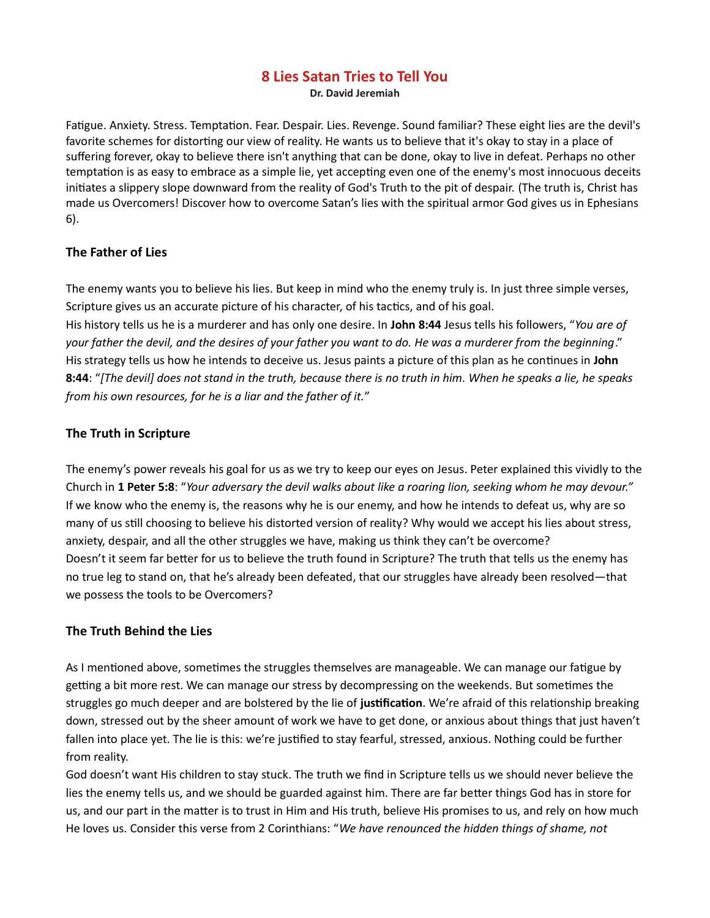# 8 Lies Satan Tries to Tell You

Dr. David Jeremiah

Fatigue. Anxiety. Stress. Temptation. Fear. Despair. Lies. Revenge. Sound familiar? These eight lies are the devil's favorite schemes for distorting our view of reality. He wants us to believe that it's okay to stay in a place of suffering forever, okay to believe there isn't anything that can be done, okay to live in defeat. Perhaps no other temptation is as easy to embrace as a simple lie, yet accepting even one of the enemy's most innocuous deceits initiates a slippery slope downward from the reality of God's Truth to the pit of despair. (The truth is, Christ has made us Overcomers! Discover how to overcome Satan's lies with the spiritual armor God gives us in Ephesians 6).

### The Father of Lies

The enemy wants you to believe his lies. But keep in mind who the enemy truly is. In just three simple verses, Scripture gives us an accurate picture of his character, of his tactics, and of his goal.

His history tells us he is a murderer and has only one desire. In John 8:44 Jesus tells his followers, "You are of your father the devil, and the desires of your father you want to do. He was a murderer from the beginning." His strategy tells us how he intends to deceive us. Jesus paints a picture of this plan as he continues in John 8:44: "[The devil] does not stand in the truth, because there is no truth in him. When he speaks a lie, he speaks from his own resources, for he is a liar and the father of it."

### The Truth in Scripture

The enemy's power reveals his goal for us as we try to keep our eyes on Jesus. Peter explained this vividly to the Church in 1 Peter 5:8: "Your adversary the devil walks about like a roaring lion, seeking whom he may devour." If we know who the enemy is, the reasons why he is our enemy, and how he intends to defeat us, why are so many of us still choosing to believe his distorted version of reality? Why would we accept his lies about stress, anxiety, despair, and all the other struggles we have, making us think they can't be overcome? Doesn't it seem far better for us to believe the truth found in Scripture? The truth that tells us the enemy has no true leg to stand on, that he's already been defeated, that our struggles have already been resolved—that we possess the tools to be Overcomers?

#### The Truth Behind the Lies

As I mentioned above, sometimes the struggles themselves are manageable. We can manage our fatigue by getting a bit more rest. We can manage our stress by decompressing on the weekends. But sometimes the struggles go much deeper and are bolstered by the lie of justification. We're afraid of this relationship breaking down, stressed out by the sheer amount of work we have to get done, or anxious about things that just haven't fallen into place yet. The lie is this: we're justified to stay fearful, stressed, anxious. Nothing could be further from reality.

God doesn't want His children to stay stuck. The truth we find in Scripture tells us we should never believe the lies the enemy tells us, and we should be guarded against him. There are far better things God has in store for us, and our part in the matter is to trust in Him and His truth, believe His promises to us, and rely on how much He loves us. Consider this verse from 2 Corinthians: "We have renounced the hidden things of shame, not